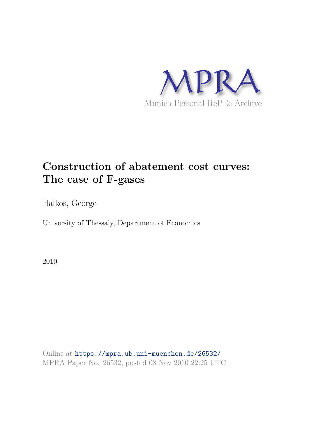

# **Construction of abatement cost curves: The case of F-gases**

Halkos, George

University of Thessaly, Department of Economics

2010

Online at https://mpra.ub.uni-muenchen.de/26532/ MPRA Paper No. 26532, posted 08 Nov 2010 22:25 UTC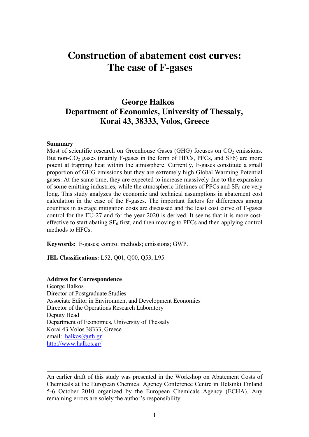# **Construction of abatement cost curves: The case of F-gases**

## **George Halkos Department of Economics, University of Thessaly, Korai 43, 38333, Volos, Greece**

#### **Summary**

Most of scientific research on Greenhouse Gases (GHG) focuses on  $CO<sub>2</sub>$  emissions. But non- $CO<sub>2</sub>$  gases (mainly F-gases in the form of HFCs, PFCs, and SF6) are more potent at trapping heat within the atmosphere. Currently, F-gases constitute a small proportion of GHG emissions but they are extremely high Global Warming Potential gases. At the same time, they are expected to increase massively due to the expansion of some emitting industries, while the atmospheric lifetimes of PFCs and  $SF<sub>6</sub>$  are very long. This study analyzes the economic and technical assumptions in abatement cost calculation in the case of the F-gases. The important factors for differences among countries in average mitigation costs are discussed and the least cost curve of F-gases control for the EU-27 and for the year 2020 is derived. It seems that it is more costeffective to start abating  $SF_6$  first, and then moving to PFCs and then applying control methods to HFCs.

**Keywords:** F-gases; control methods; emissions; GWP.

**JEL Classifications:** L52, Q01, Q00, Q53, L95.

### **Address for Correspondence**

George Halkos Director of Postgraduate Studies Associate Editor in Environment and Development Economics Director of the Operations Research Laboratory Deputy Head Department of Economics, University of Thessaly Korai 43 Volos 38333, Greece email: halkos@uth.gr http://www.halkos.gr/

An earlier draft of this study was presented in the Workshop on Abatement Costs of Chemicals at the European Chemical Agency Conference Centre in Helsinki Finland 5-6 October 2010 organized by the European Chemicals Agency (ECHA). Any remaining errors are solely the author's responsibility.

\_\_\_\_\_\_\_\_\_\_\_\_\_\_\_\_\_\_\_\_\_\_\_\_\_\_\_\_\_\_\_\_\_\_\_\_\_\_\_\_\_\_\_\_\_\_\_\_\_\_\_\_\_\_\_\_\_\_\_\_\_\_\_\_\_\_\_\_\_\_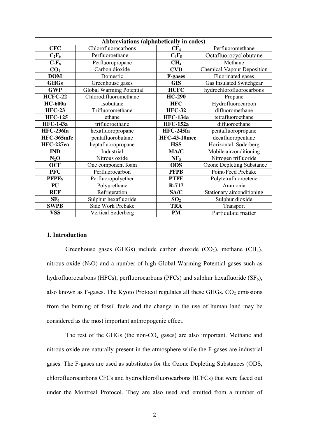| Abbreviations (alphabetically in codes) |                                                            |                  |                                   |                                   |  |  |  |
|-----------------------------------------|------------------------------------------------------------|------------------|-----------------------------------|-----------------------------------|--|--|--|
| <b>CFC</b>                              | Chlorofluorocarbons<br>Perfluoromethane<br>CF <sub>4</sub> |                  |                                   |                                   |  |  |  |
| $C_2F_6$                                | Perfluoroethane                                            |                  | $C_4F_8$<br>Octafluorocyclobutane |                                   |  |  |  |
| $C_3F_8$                                | Perfluoropropane                                           |                  | CH <sub>4</sub>                   | Methane                           |  |  |  |
| CO <sub>2</sub>                         | Carbon dioxide                                             |                  | <b>CVD</b>                        | <b>Chemical Vapour Deposition</b> |  |  |  |
| <b>DOM</b>                              | Domestic                                                   |                  | <b>F-gases</b>                    | Fluorinated gases                 |  |  |  |
| <b>GHGs</b>                             | Greenhouse gases                                           |                  | <b>GIS</b>                        | Gas Insulated Switchgear          |  |  |  |
| <b>GWP</b>                              | Global Warming Potential                                   |                  | <b>HCFC</b>                       | hydrochlorofluorocarbons          |  |  |  |
| <b>HCFC-22</b>                          | Chlorodifluoromethane                                      |                  | <b>HC-290</b>                     | Propane                           |  |  |  |
| <b>HC-600a</b>                          | Isobutane                                                  |                  | <b>HFC</b>                        | Hydrofluorocarbon                 |  |  |  |
| <b>HFC-23</b>                           | Trifluoromethane                                           |                  | <b>HFC-32</b>                     | difluoromethane                   |  |  |  |
| <b>HFC-125</b>                          | ethane                                                     |                  | <b>HFC-134a</b>                   | tetrafluoroethane                 |  |  |  |
| <b>HFC-143a</b>                         | trifluoroethane                                            |                  | <b>HFC-152a</b>                   | difluoroethane                    |  |  |  |
| <b>HFC-236fa</b>                        | hexafluoropropane                                          | <b>HFC-245fa</b> |                                   | pentafluoropropane                |  |  |  |
| HFC-365mfc                              | pentafluorobutane                                          |                  | <b>HFC-43-10mee</b>               | decafluoropentane                 |  |  |  |
| HFC-227ea                               | heptafluoropropane                                         |                  | <b>HSS</b>                        | Horizontal Søderberg              |  |  |  |
| <b>IND</b>                              | Industrial                                                 |                  | <b>MA/C</b>                       | Mobile airconditioning            |  |  |  |
| $N_2O$                                  | Nitrous oxide                                              |                  | NF <sub>3</sub>                   | Nitrogen trifluoride              |  |  |  |
| <b>OCF</b>                              | One component foam                                         |                  | <b>ODS</b>                        | <b>Ozone Depleting Substance</b>  |  |  |  |
| <b>PFC</b>                              | Perfluorocarbon                                            |                  | <b>PFPB</b>                       | Point-Feed Prebake                |  |  |  |
| <b>PFPEs</b>                            | Perfluoropolyether                                         |                  | <b>PTFE</b>                       | Polytetrafluoroetene              |  |  |  |
| PU                                      | Polyurethane                                               |                  | R-717                             | Ammonia                           |  |  |  |
| <b>REF</b>                              | Refrigeration                                              |                  | SA/C                              | Stationary airconditioning        |  |  |  |
| SF <sub>6</sub>                         | Sulphur hexafluoride                                       |                  | SO <sub>2</sub>                   | Sulphur dioxide                   |  |  |  |
| <b>SWPB</b>                             | Side Work Prebake                                          |                  | <b>TRA</b>                        | Transport                         |  |  |  |
| <b>VSS</b>                              | Vertical Søderberg                                         |                  | <b>PM</b>                         | Particulate matter                |  |  |  |

## **1. Introduction**

Greenhouse gases (GHGs) include carbon dioxide  $(CO<sub>2</sub>)$ , methane  $(CH<sub>4</sub>)$ , nitrous oxide  $(N_2O)$  and a number of high Global Warming Potential gases such as hydrofluorocarbons (HFCs), perfluorocarbons (PFCs) and sulphur hexafluoride ( $SF<sub>6</sub>$ ), also known as F-gases. The Kyoto Protocol regulates all these GHGs.  $CO<sub>2</sub>$  emissions from the burning of fossil fuels and the change in the use of human land may be considered as the most important anthropogenic effect.

The rest of the GHGs (the non- $CO<sub>2</sub>$  gases) are also important. Methane and nitrous oxide are naturally present in the atmosphere while the F-gases are industrial gases. The F-gases are used as substitutes for the Ozone Depleting Substances (ODS, chlorofluorocarbons CFCs and hydrochlorofluorocarbons HCFCs) that were faced out under the Montreal Protocol. They are also used and emitted from a number of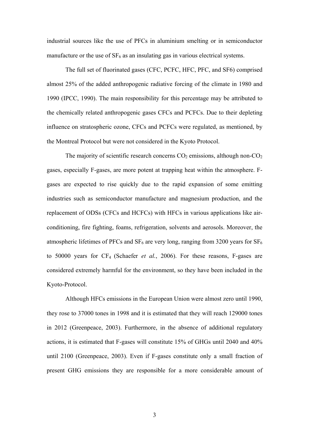industrial sources like the use of PFCs in aluminium smelting or in semiconductor manufacture or the use of  $SF_6$  as an insulating gas in various electrical systems.

The full set of fluorinated gases (CFC, PCFC, HFC, PFC, and SF6) comprised almost 25% of the added anthropogenic radiative forcing of the climate in 1980 and 1990 (IPCC, 1990). The main responsibility for this percentage may be attributed to the chemically related anthropogenic gases CFCs and PCFCs. Due to their depleting influence on stratospheric ozone, CFCs and PCFCs were regulated, as mentioned, by the Montreal Protocol but were not considered in the Kyoto Protocol.

The majority of scientific research concerns  $CO<sub>2</sub>$  emissions, although non- $CO<sub>2</sub>$ gases, especially F-gases, are more potent at trapping heat within the atmosphere. Fgases are expected to rise quickly due to the rapid expansion of some emitting industries such as semiconductor manufacture and magnesium production, and the replacement of ODSs (CFCs and HCFCs) with HFCs in various applications like airconditioning, fire fighting, foams, refrigeration, solvents and aerosols. Moreover, the atmospheric lifetimes of PFCs and  $SF_6$  are very long, ranging from 3200 years for  $SF_6$ to 50000 years for CF4 (Schaefer *et al.*, 2006). For these reasons, F-gases are considered extremely harmful for the environment, so they have been included in the Kyoto-Protocol.

Although HFCs emissions in the European Union were almost zero until 1990, they rose to 37000 tones in 1998 and it is estimated that they will reach 129000 tones in 2012 (Greenpeace, 2003). Furthermore, in the absence of additional regulatory actions, it is estimated that F-gases will constitute 15% of GHGs until 2040 and 40% until 2100 (Greenpeace, 2003). Even if F-gases constitute only a small fraction of present GHG emissions they are responsible for a more considerable amount of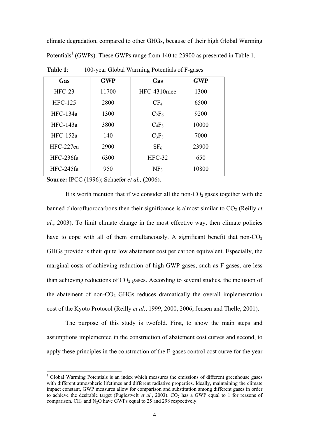climate degradation, compared to other GHGs, because of their high Global Warming Potentials<sup>1</sup> (GWPs). These GWPs range from 140 to 23900 as presented in Table 1.

| Gas            | <b>GWP</b> | Gas             | <b>GWP</b> |
|----------------|------------|-----------------|------------|
| $HFC-23$       | 11700      | HFC-4310mee     | 1300       |
| <b>HFC-125</b> | 2800       | CF <sub>4</sub> | 6500       |
| HFC-134a       | 1300       | $C_2F_6$        | 9200       |
| $HFC-143a$     | 3800       | $C_4F_8$        | 10000      |
| $HFC-152a$     | 140        | $C_3F_8$        | 7000       |
| HFC-227ea      | 2900       | SF <sub>6</sub> | 23900      |
| HFC-236fa      | 6300       | $HFC-32$        | 650        |
| $HFC-245fa$    | 950        | NF <sub>3</sub> | 10800      |

**Table 1**: 100-year Global Warming Potentials of F-gases

**Source:** IPCC (1996); Schaefer *et al.,* (2006).

 $\overline{a}$ 

It is worth mention that if we consider all the non- $CO<sub>2</sub>$  gases together with the banned chlorofluorocarbons then their significance is almost similar to CO<sub>2</sub> (Reilly *et al.*, 2003). To limit climate change in the most effective way, then climate policies have to cope with all of them simultaneously. A significant benefit that non- $CO<sub>2</sub>$ GHGs provide is their quite low abatement cost per carbon equivalent. Especially, the marginal costs of achieving reduction of high-GWP gases, such as F-gases, are less than achieving reductions of  $CO<sub>2</sub>$  gases. According to several studies, the inclusion of the abatement of non- $CO<sub>2</sub>$  GHGs reduces dramatically the overall implementation cost of the Kyoto Protocol (Reilly *et al*., 1999, 2000, 2006; Jensen and Thelle, 2001).

The purpose of this study is twofold. First, to show the main steps and assumptions implemented in the construction of abatement cost curves and second, to apply these principles in the construction of the F-gases control cost curve for the year

<sup>&</sup>lt;sup>1</sup> Global Warming Potentials is an index which measures the emissions of different greenhouse gases with different atmospheric lifetimes and different radiative properties. Ideally, maintaining the climate impact constant, GWP measures allow for comparison and substitution among different gases in order to achieve the desirable target (Fuglestvelt *et al.*, 2003). CO<sub>2</sub> has a GWP equal to 1 for reasons of comparison.  $CH_4$  and N<sub>2</sub>O have GWPs equal to 25 and 298 respectively.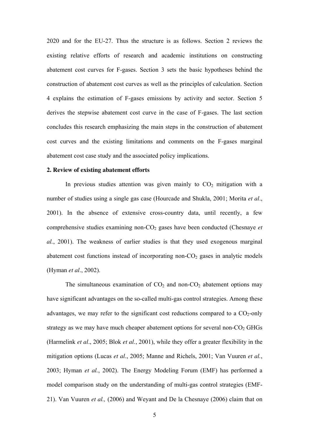2020 and for the EU-27. Thus the structure is as follows. Section 2 reviews the existing relative efforts of research and academic institutions on constructing abatement cost curves for F-gases. Section 3 sets the basic hypotheses behind the construction of abatement cost curves as well as the principles of calculation. Section 4 explains the estimation of F-gases emissions by activity and sector. Section 5 derives the stepwise abatement cost curve in the case of F-gases. The last section concludes this research emphasizing the main steps in the construction of abatement cost curves and the existing limitations and comments on the F-gases marginal abatement cost case study and the associated policy implications.

#### **2. Review of existing abatement efforts**

In previous studies attention was given mainly to  $CO<sub>2</sub>$  mitigation with a number of studies using a single gas case (Hourcade and Shukla, 2001; Morita *et al*., 2001). In the absence of extensive cross-country data, until recently, a few comprehensive studies examining non-CO2 gases have been conducted (Chesnaye *et al.*, 2001). The weakness of earlier studies is that they used exogenous marginal abatement cost functions instead of incorporating non- $CO<sub>2</sub>$  gases in analytic models (Hyman *et al*., 2002).

The simultaneous examination of  $CO<sub>2</sub>$  and non- $CO<sub>2</sub>$  abatement options may have significant advantages on the so-called multi-gas control strategies. Among these advantages, we may refer to the significant cost reductions compared to a  $CO<sub>2</sub>$ -only strategy as we may have much cheaper abatement options for several non- $CO<sub>2</sub>$  GHGs (Harmelink *et al*., 2005; Blok *et al.*, 2001), while they offer a greater flexibility in the mitigation options (Lucas *et al*., 2005; Manne and Richels, 2001; Van Vuuren *et al.*, 2003; Hyman *et al.*, 2002). The Energy Modeling Forum (EMF) has performed a model comparison study on the understanding of multi-gas control strategies (EMF-21). Van Vuuren *et al.,* (2006) and Weyant and De la Chesnaye (2006) claim that on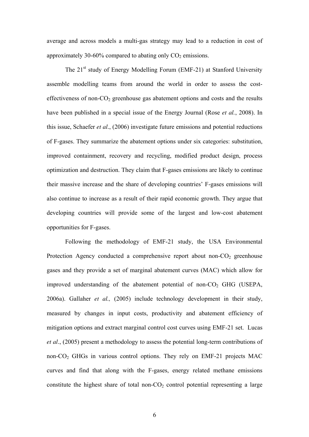average and across models a multi-gas strategy may lead to a reduction in cost of approximately 30-60% compared to abating only  $CO<sub>2</sub>$  emissions.

The 21<sup>st</sup> study of Energy Modelling Forum (EMF-21) at Stanford University assemble modelling teams from around the world in order to assess the costeffectiveness of non- $CO<sub>2</sub>$  greenhouse gas abatement options and costs and the results have been published in a special issue of the Energy Journal (Rose *et al.*, 2008). In this issue, Schaefer *et al*., (2006) investigate future emissions and potential reductions of F-gases. They summarize the abatement options under six categories: substitution, improved containment, recovery and recycling, modified product design, process optimization and destruction. They claim that F-gases emissions are likely to continue their massive increase and the share of developing countries' F-gases emissions will also continue to increase as a result of their rapid economic growth. They argue that developing countries will provide some of the largest and low-cost abatement opportunities for F-gases.

Following the methodology of EMF-21 study, the USA Environmental Protection Agency conducted a comprehensive report about non- $CO<sub>2</sub>$  greenhouse gases and they provide a set of marginal abatement curves (MAC) which allow for improved understanding of the abatement potential of non- $CO<sub>2</sub>$  GHG (USEPA, 2006a). Gallaher *et al.,* (2005) include technology development in their study, measured by changes in input costs, productivity and abatement efficiency of mitigation options and extract marginal control cost curves using EMF-21 set. Lucas *et al*., (2005) present a methodology to assess the potential long-term contributions of non-CO2 GHGs in various control options. They rely on EMF-21 projects MAC curves and find that along with the F-gases, energy related methane emissions constitute the highest share of total non- $CO<sub>2</sub>$  control potential representing a large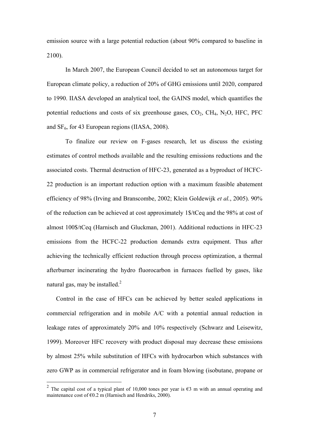emission source with a large potential reduction (about 90% compared to baseline in 2100).

In March 2007, the European Council decided to set an autonomous target for European climate policy, a reduction of 20% of GHG emissions until 2020, compared to 1990. IIASA developed an analytical tool, the GAINS model, which quantifies the potential reductions and costs of six greenhouse gases,  $CO<sub>2</sub>$ ,  $CH<sub>4</sub>$ , N<sub>2</sub>O, HFC, PFC and  $SF_6$ , for 43 European regions (IIASA, 2008).

To finalize our review on F-gases research, let us discuss the existing estimates of control methods available and the resulting emissions reductions and the associated costs. Thermal destruction of HFC-23, generated as a byproduct of HCFC-22 production is an important reduction option with a maximum feasible abatement efficiency of 98% (Irving and Branscombe, 2002; Klein Goldewijk *et al.*, 2005). 90% of the reduction can be achieved at cost approximately 1\$/tCeq and the 98% at cost of almost 100\$/tCeq (Harnisch and Gluckman, 2001). Additional reductions in HFC-23 emissions from the HCFC-22 production demands extra equipment. Thus after achieving the technically efficient reduction through process optimization, a thermal afterburner incinerating the hydro fluorocarbon in furnaces fuelled by gases, like natural gas, may be installed. $2$ 

Control in the case of HFCs can be achieved by better sealed applications in commercial refrigeration and in mobile A/C with a potential annual reduction in leakage rates of approximately 20% and 10% respectively (Schwarz and Leisewitz, 1999). Moreover HFC recovery with product disposal may decrease these emissions by almost 25% while substitution of HFCs with hydrocarbon which substances with zero GWP as in commercial refrigerator and in foam blowing (isobutane, propane or

<sup>&</sup>lt;sup>2</sup> The capital cost of a typical plant of 10,000 tones per year is  $\epsilon$ 3 m with an annual operating and maintenance cost of  $\epsilon$ 0.2 m (Harnisch and Hendriks, 2000).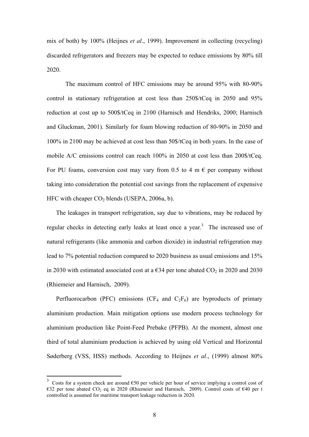mix of both) by 100% (Heijnes *et al*., 1999). Improvement in collecting (recycling) discarded refrigerators and freezers may be expected to reduce emissions by 80% till 2020.

The maximum control of HFC emissions may be around 95% with 80-90% control in stationary refrigeration at cost less than 250\$/tCeq in 2050 and 95% reduction at cost up to 500\$/tCeq in 2100 (Harnisch and Hendriks, 2000; Harnisch and Gluckman, 2001). Similarly for foam blowing reduction of 80-90% in 2050 and 100% in 2100 may be achieved at cost less than 50\$/tCeq in both years. In the case of mobile A/C emissions control can reach 100% in 2050 at cost less than 200\$/tCeq. For PU foams, conversion cost may vary from 0.5 to 4 m  $\epsilon$  per company without taking into consideration the potential cost savings from the replacement of expensive HFC with cheaper CO<sub>2</sub> blends (USEPA, 2006a, b).

The leakages in transport refrigeration, say due to vibrations, may be reduced by regular checks in detecting early leaks at least once a year.<sup>3</sup> The increased use of natural refrigerants (like ammonia and carbon dioxide) in industrial refrigeration may lead to 7% potential reduction compared to 2020 business as usual emissions and 15% in 2030 with estimated associated cost at a  $634$  per tone abated CO<sub>2</sub> in 2020 and 2030 (Rhiemeier and Harnisch, 2009).

Perfluorocarbon (PFC) emissions ( $CF_4$  and  $C_2F_6$ ) are byproducts of primary aluminium production. Main mitigation options use modern process technology for aluminium production like Point-Feed Prebake (PFPB). At the moment, almost one third of total aluminium production is achieved by using old Vertical and Horizontal Søderberg (VSS, HSS) methods. According to Heijnes *et al*., (1999) almost 80%

 $\overline{a}$ 

<sup>3</sup> Costs for a system check are around €50 per vehicle per hour of service implying a control cost of €32 per tone abated CO<sub>2</sub> eq in 2020 (Rhiemeier and Harnisch, 2009). Control costs of €40 per t controlled is assumed for maritime transport leakage reduction in 2020.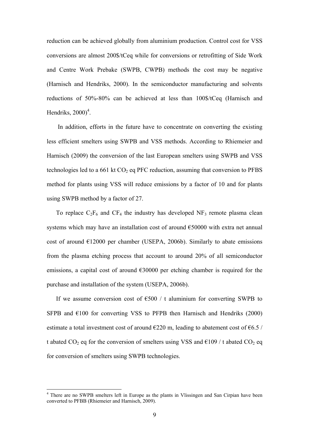reduction can be achieved globally from aluminium production. Control cost for VSS conversions are almost 200\$/tCeq while for conversions or retrofitting of Side Work and Centre Work Prebake (SWPB, CWPB) methods the cost may be negative (Harnisch and Hendriks, 2000). In the semiconductor manufacturing and solvents reductions of 50%-80% can be achieved at less than 100\$/tCeq (Harnisch and Hendriks,  $2000$ <sup>4</sup>.

In addition, efforts in the future have to concentrate on converting the existing less efficient smelters using SWPB and VSS methods. According to Rhiemeier and Harnisch (2009) the conversion of the last European smelters using SWPB and VSS technologies led to a 661 kt  $CO<sub>2</sub>$  eq PFC reduction, assuming that conversion to PFBS method for plants using VSS will reduce emissions by a factor of 10 and for plants using SWPB method by a factor of 27.

To replace  $C_2F_6$  and  $CF_4$  the industry has developed NF<sub>3</sub> remote plasma clean systems which may have an installation cost of around €50000 with extra net annual cost of around  $E12000$  per chamber (USEPA, 2006b). Similarly to abate emissions from the plasma etching process that account to around 20% of all semiconductor emissions, a capital cost of around  $\epsilon$ 30000 per etching chamber is required for the purchase and installation of the system (USEPA, 2006b).

If we assume conversion cost of  $\epsilon$ 500 / t aluminium for converting SWPB to SFPB and  $\epsilon$ 100 for converting VSS to PFPB then Harnisch and Hendriks (2000) estimate a total investment cost of around  $\epsilon$ 220 m, leading to abatement cost of  $\epsilon$ 6.5 / t abated  $CO_2$  eq for the conversion of smelters using VSS and  $\epsilon$ 109 / t abated  $CO_2$  eq for conversion of smelters using SWPB technologies.

 $\overline{a}$ 

<sup>&</sup>lt;sup>4</sup> There are no SWPB smelters left in Europe as the plants in Vlissingen and San Cirpian have been converted to PFBB (Rhiemeier and Harnisch, 2009).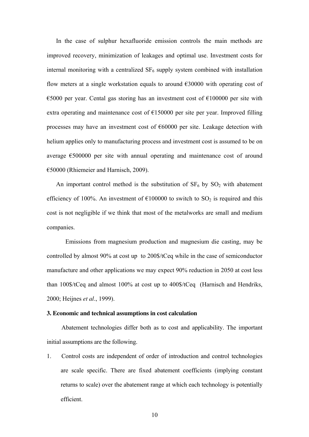In the case of sulphur hexafluoride emission controls the main methods are improved recovery, minimization of leakages and optimal use. Investment costs for internal monitoring with a centralized  $SF_6$  supply system combined with installation flow meters at a single workstation equals to around  $\epsilon$ 30000 with operating cost of €5000 per year. Cental gas storing has an investment cost of  $€100000$  per site with extra operating and maintenance cost of  $E150000$  per site per year. Improved filling processes may have an investment cost of €60000 per site. Leakage detection with helium applies only to manufacturing process and investment cost is assumed to be on average €500000 per site with annual operating and maintenance cost of around €50000 (Rhiemeier and Harnisch, 2009).

An important control method is the substitution of  $SF<sub>6</sub>$  by  $SO<sub>2</sub>$  with abatement efficiency of 100%. An investment of  $\epsilon$ 100000 to switch to SO<sub>2</sub> is required and this cost is not negligible if we think that most of the metalworks are small and medium companies.

Emissions from magnesium production and magnesium die casting, may be controlled by almost 90% at cost up to 200\$/tCeq while in the case of semiconductor manufacture and other applications we may expect 90% reduction in 2050 at cost less than 100\$/tCeq and almost 100% at cost up to 400\$/tCeq (Harnisch and Hendriks, 2000; Heijnes *et al*., 1999).

#### **3. Economic and technical assumptions in cost calculation**

 Abatement technologies differ both as to cost and applicability. The important initial assumptions are the following.

1. Control costs are independent of order of introduction and control technologies are scale specific. There are fixed abatement coefficients (implying constant returns to scale) over the abatement range at which each technology is potentially efficient.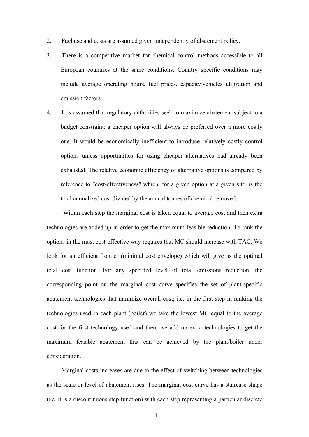- 2. Fuel use and costs are assumed given independently of abatement policy.
- 3. There is a competitive market for chemical control methods accessible to all European countries at the same conditions. Country specific conditions may include average operating hours, fuel prices, capacity/vehicles utilization and emission factors.
- 4. It is assumed that regulatory authorities seek to maximize abatement subject to a budget constraint: a cheaper option will always be preferred over a more costly one. It would be economically inefficient to introduce relatively costly control options unless opportunities for using cheaper alternatives had already been exhausted. The relative economic efficiency of alternative options is compared by reference to "cost-effectiveness" which, for a given option at a given site, is the total annualized cost divided by the annual tonnes of chemical removed.

 Within each step the marginal cost is taken equal to average cost and then extra technologies are added up in order to get the maximum feasible reduction. To rank the options in the most cost-effective way requires that MC should increase with TAC. We look for an efficient frontier (minimal cost envelope) which will give us the optimal total cost function. For any specified level of total emissions reduction, the corresponding point on the marginal cost curve specifies the set of plant-specific abatement technologies that minimize overall cost; i.e. in the first step in ranking the technologies used in each plant (boiler) we take the lowest MC equal to the average cost for the first technology used and then, we add up extra technologies to get the maximum feasible abatement that can be achieved by the plant/boiler under consideration.

 Marginal costs increases are due to the effect of switching between technologies as the scale or level of abatement rises. The marginal cost curve has a staircase shape (i.e. it is a discontinuous step function) with each step representing a particular discrete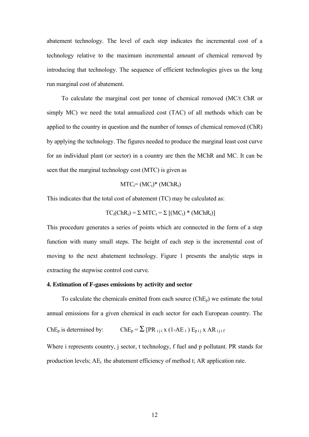abatement technology. The level of each step indicates the incremental cost of a technology relative to the maximum incremental amount of chemical removed by introducing that technology. The sequence of efficient technologies gives us the long run marginal cost of abatement.

 To calculate the marginal cost per tonne of chemical removed (MC/t ChR or simply MC) we need the total annualized cost (TAC) of all methods which can be applied to the country in question and the number of tonnes of chemical removed (ChR) by applying the technology. The figures needed to produce the marginal least cost curve for an individual plant (or sector) in a country are then the MChR and MC. It can be seen that the marginal technology cost (MTC) is given as

$$
MTC_t=(MC_t)^* (MChR_t)
$$

This indicates that the total cost of abatement (TC) may be calculated as:

$$
TC_t(ChR_t) = \Sigma MTC_t = \Sigma [(MC_t) * (MChR_t)]
$$

This procedure generates a series of points which are connected in the form of a step function with many small steps. The height of each step is the incremental cost of moving to the next abatement technology. Figure 1 presents the analytic steps in extracting the stepwise control cost curve.

#### **4. Estimation of F-gases emissions by activity and sector**

To calculate the chemicals emitted from each source  $(ChE_p)$  we estimate the total annual emissions for a given chemical in each sector for each European country. The ChE<sub>p</sub> is determined by: ChE<sub>p</sub> =  $\sum$  [PR <sub>ijt</sub> x (1-AE<sub>t</sub>) E<sub>pij</sub> x AR<sub>ijtf</sub>

Where i represents country, j sector, t technology, f fuel and p pollutant. PR stands for production levels;  $AE_t$  the abatement efficiency of method t; AR application rate.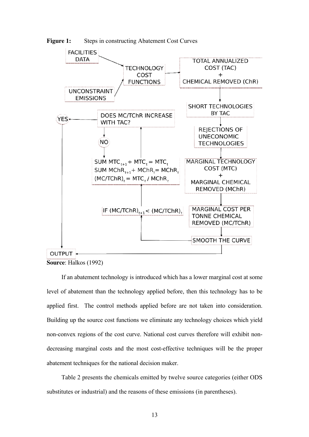



 If an abatement technology is introduced which has a lower marginal cost at some level of abatement than the technology applied before, then this technology has to be applied first. The control methods applied before are not taken into consideration. Building up the source cost functions we eliminate any technology choices which yield non-convex regions of the cost curve. National cost curves therefore will exhibit nondecreasing marginal costs and the most cost-effective techniques will be the proper abatement techniques for the national decision maker.

 Table 2 presents the chemicals emitted by twelve source categories (either ODS substitutes or industrial) and the reasons of these emissions (in parentheses).

**Source**: Halkos (1992)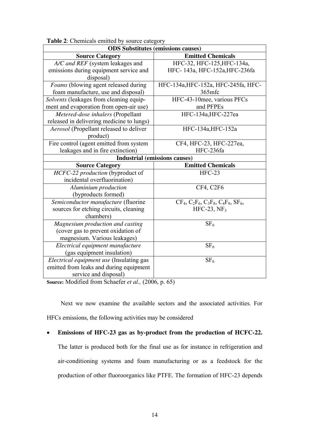| <b>radic 2.</b> Chemicals emitted by source eategory<br><b>ODS</b> Substitutes (emissions causes) |                                                    |  |  |  |  |  |
|---------------------------------------------------------------------------------------------------|----------------------------------------------------|--|--|--|--|--|
| <b>Source Category</b>                                                                            | <b>Emitted Chemicals</b>                           |  |  |  |  |  |
| A/C and REF (system leakages and                                                                  | HFC-32, HFC-125, HFC-134a,                         |  |  |  |  |  |
| emissions during equipment service and                                                            | HFC-143a, HFC-152a, HFC-236fa                      |  |  |  |  |  |
| disposal)                                                                                         |                                                    |  |  |  |  |  |
| Foams (blowing agent released during                                                              | HFC-134a, HFC-152a, HFC-245fa, HFC-                |  |  |  |  |  |
| foam manufacture, use and disposal)                                                               | 365mfc                                             |  |  |  |  |  |
| Solvents (leakages from cleaning equip-                                                           | HFC-43-10mee, various PFCs                         |  |  |  |  |  |
| ment and evaporation from open-air use)                                                           | and PFPEs                                          |  |  |  |  |  |
| Metered-dose inhalers (Propellant                                                                 | HFC-134a, HFC-227ea                                |  |  |  |  |  |
| released in delivering medicine to lungs)                                                         |                                                    |  |  |  |  |  |
| Aerosol (Propellant released to deliver                                                           | HFC-134a, HFC-152a                                 |  |  |  |  |  |
| product)                                                                                          |                                                    |  |  |  |  |  |
| Fire control (agent emitted from system                                                           | CF4, HFC-23, HFC-227ea,                            |  |  |  |  |  |
| leakages and in fire extinction)                                                                  | HFC-236fa                                          |  |  |  |  |  |
|                                                                                                   | <b>Industrial (emissions causes)</b>               |  |  |  |  |  |
| <b>Source Category</b>                                                                            | <b>Emitted Chemicals</b>                           |  |  |  |  |  |
| HCFC-22 production (byproduct of                                                                  | $HFC-23$                                           |  |  |  |  |  |
| incidental overfluorination)                                                                      |                                                    |  |  |  |  |  |
| Aluminium production                                                                              | CF4, C2F6                                          |  |  |  |  |  |
| (byproducts formed)                                                                               |                                                    |  |  |  |  |  |
| Semiconductor manufacture (fluorine                                                               | $CF_4$ , $C_2F_6$ , $C_3F_8$ , $C_4F_8$ , $SF_6$ , |  |  |  |  |  |
| sources for etching circuits, cleaning                                                            | $HFC-23, NF3$                                      |  |  |  |  |  |
| chambers)                                                                                         |                                                    |  |  |  |  |  |
| Magnesium production and casting                                                                  | SF <sub>6</sub>                                    |  |  |  |  |  |
| (cover gas to prevent oxidation of                                                                |                                                    |  |  |  |  |  |
| magnesium. Various leakages)                                                                      |                                                    |  |  |  |  |  |
| Electrical equipment manufacture                                                                  | SF <sub>6</sub>                                    |  |  |  |  |  |
| (gas equipment insulation)                                                                        |                                                    |  |  |  |  |  |
| <i>Electrical equipment use</i> (Insulating gas                                                   | SF <sub>6</sub>                                    |  |  |  |  |  |
| emitted from leaks and during equipment                                                           |                                                    |  |  |  |  |  |
| service and disposal)                                                                             |                                                    |  |  |  |  |  |

Table 2: Chemicals emitted by source category

**Source:** Modified from Schaefer *et al.,* (2006, p. 65)

 Next we now examine the available sectors and the associated activities. For HFCs emissions, the following activities may be considered

## • **Emissions of HFC-23 gas as by-product from the production of HCFC-22.**

The latter is produced both for the final use as for instance in refrigeration and air-conditioning systems and foam manufacturing or as a feedstock for the production of other fluoroorganics like PTFE. The formation of HFC-23 depends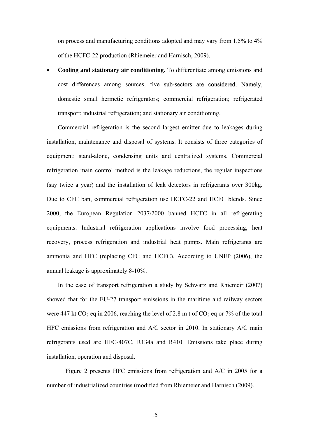on process and manufacturing conditions adopted and may vary from 1.5% to 4% of the HCFC-22 production (Rhiemeier and Harnisch, 2009).

• **Cooling and stationary air conditioning.** To differentiate among emissions and cost differences among sources, five sub-sectors are considered. Namely, domestic small hermetic refrigerators; commercial refrigeration; refrigerated transport; industrial refrigeration; and stationary air conditioning.

Commercial refrigeration is the second largest emitter due to leakages during installation, maintenance and disposal of systems. It consists of three categories of equipment: stand-alone, condensing units and centralized systems. Commercial refrigeration main control method is the leakage reductions, the regular inspections (say twice a year) and the installation of leak detectors in refrigerants over 300kg. Due to CFC ban, commercial refrigeration use HCFC-22 and HCFC blends. Since 2000, the European Regulation 2037/2000 banned HCFC in all refrigerating equipments. Industrial refrigeration applications involve food processing, heat recovery, process refrigeration and industrial heat pumps. Main refrigerants are ammonia and HFC (replacing CFC and HCFC). According to UNEP (2006), the annual leakage is approximately 8-10%.

In the case of transport refrigeration a study by Schwarz and Rhiemeir (2007) showed that for the EU-27 transport emissions in the maritime and railway sectors were 447 kt  $CO_2$  eq in 2006, reaching the level of 2.8 m t of  $CO_2$  eq or 7% of the total HFC emissions from refrigeration and A/C sector in 2010. In stationary A/C main refrigerants used are HFC-407C, R134a and R410. Emissions take place during installation, operation and disposal.

Figure 2 presents HFC emissions from refrigeration and A/C in 2005 for a number of industrialized countries (modified from Rhiemeier and Harnisch (2009).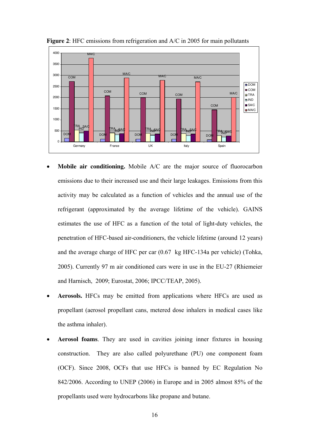

**Figure 2**: HFC emissions from refrigeration and A/C in 2005 for main pollutants

- **Mobile air conditioning.** Mobile A/C are the major source of fluorocarbon emissions due to their increased use and their large leakages. Emissions from this activity may be calculated as a function of vehicles and the annual use of the refrigerant (approximated by the average lifetime of the vehicle). GAINS estimates the use of HFC as a function of the total of light-duty vehicles, the penetration of HFC-based air-conditioners, the vehicle lifetime (around 12 years) and the average charge of HFC per car (0.67 kg HFC-134a per vehicle) (Tohka, 2005). Currently 97 m air conditioned cars were in use in the EU-27 (Rhiemeier and Harnisch, 2009; Eurostat, 2006; IPCC/TEAP, 2005).
- **Aerosols.** HFCs may be emitted from applications where HFCs are used as propellant (aerosol propellant cans, metered dose inhalers in medical cases like the asthma inhaler).
- **Aerosol foams**. They are used in cavities joining inner fixtures in housing construction. They are also called polyurethane (PU) one component foam (OCF). Since 2008, OCFs that use HFCs is banned by EC Regulation No 842/2006. According to UNEP (2006) in Europe and in 2005 almost 85% of the propellants used were hydrocarbons like propane and butane.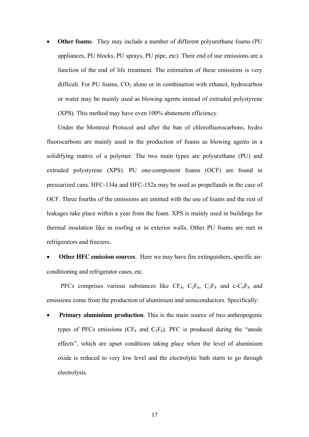• **Other foams**. They may include a number of different polyurethane foams (PU appliances, PU blocks, PU sprays, PU pipe, etc). Their end of use emissions are a function of the end of life treatment. The estimation of these emissions is very difficult. For PU foams,  $CO<sub>2</sub>$  alone or in combination with ethanol, hydrocarbon or water may be mainly used as blowing agents instead of extruded polystyrene (XPS). This method may have even 100% abatement efficiency.

Under the Montreal Protocol and after the ban of chlorofluorocarbons, hydro fluorocarbons are mainly used in the production of foams as blowing agents in a solidifying matrix of a polymer. The two main types are polyurethane (PU) and extruded polystyrene (XPS). PU one-component foams (OCF) are found in pressurized cans. HFC-134a and HFC-152a may be used as propellands in the case of OCF. Three fourths of the emissions are emitted with the use of foams and the rest of leakages take place within a year from the foam. XPS is mainly used in buildings for thermal insulation like in roofing or in exterior walls. Other PU foams are met in refrigerators and freezers.

• **Other HFC emission sources**. Here we may have fire extinguishers, specific airconditioning and refrigerator cases, etc.

PFCs comprises various substances like  $CF_4$ ,  $C_2F_6$ ,  $C_3F_8$  and  $c-C_4F_8$  and emissions come from the production of aluminium and semiconductors. Specifically:

**Primary aluminium production**. This is the main source of two anthropogenic types of PFCs emissions ( $CF_4$  and  $C_2F_6$ ). PFC is produced during the "anode" effects", which are upset conditions taking place when the level of aluminium oxide is reduced to very low level and the electrolytic bath starts to go through electrolysis.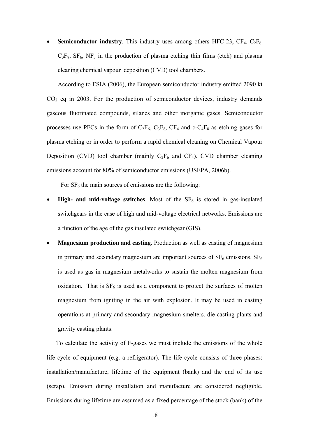• **Semiconductor industry**. This industry uses among others HFC-23,  $CF_4$ ,  $C_2F_6$  $C_3F_8$ ,  $SF_6$ ,  $NF_3$  in the production of plasma etching thin films (etch) and plasma cleaning chemical vapour deposition (CVD) tool chambers.

According to ESIA (2006), the European semiconductor industry emitted 2090 kt  $CO<sub>2</sub>$  eq in 2003. For the production of semiconductor devices, industry demands gaseous fluorinated compounds, silanes and other inorganic gases. Semiconductor processes use PFCs in the form of  $C_2F_6$ ,  $C_3F_8$ ,  $CF_4$  and  $c$ - $C_4F_8$  as etching gases for plasma etching or in order to perform a rapid chemical cleaning on Chemical Vapour Deposition (CVD) tool chamber (mainly  $C_2F_6$  and  $CF_4$ ). CVD chamber cleaning emissions account for 80% of semiconductor emissions (USEPA, 2006b).

For  $SF<sub>6</sub>$  the main sources of emissions are the following:

- **High- and mid-voltage switches**. Most of the  $SF<sub>6</sub>$  is stored in gas-insulated switchgears in the case of high and mid-voltage electrical networks. Emissions are a function of the age of the gas insulated switchgear (GIS).
- **Magnesium production and casting**. Production as well as casting of magnesium in primary and secondary magnesium are important sources of  $SF_6$  emissions.  $SF_6$ is used as gas in magnesium metalworks to sustain the molten magnesium from oxidation. That is  $SF_6$  is used as a component to protect the surfaces of molten magnesium from igniting in the air with explosion. It may be used in casting operations at primary and secondary magnesium smelters, die casting plants and gravity casting plants.

To calculate the activity of F-gases we must include the emissions of the whole life cycle of equipment (e.g. a refrigerator). The life cycle consists of three phases: installation/manufacture, lifetime of the equipment (bank) and the end of its use (scrap). Emission during installation and manufacture are considered negligible. Emissions during lifetime are assumed as a fixed percentage of the stock (bank) of the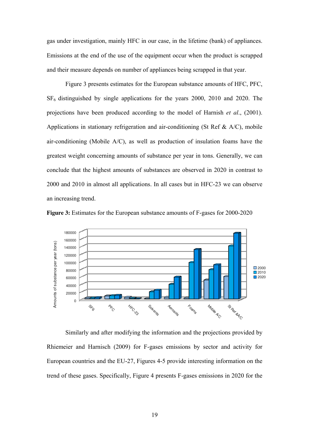gas under investigation, mainly HFC in our case, in the lifetime (bank) of appliances. Emissions at the end of the use of the equipment occur when the product is scrapped and their measure depends on number of appliances being scrapped in that year.

Figure 3 presents estimates for the European substance amounts of HFC, PFC, SF6 distinguished by single applications for the years 2000, 2010 and 2020. The projections have been produced according to the model of Harnish *et al*., (2001). Applications in stationary refrigeration and air-conditioning (St Ref & A/C), mobile air-conditioning (Mobile A/C), as well as production of insulation foams have the greatest weight concerning amounts of substance per year in tons. Generally, we can conclude that the highest amounts of substances are observed in 2020 in contrast to 2000 and 2010 in almost all applications. In all cases but in HFC-23 we can observe an increasing trend.





Similarly and after modifying the information and the projections provided by Rhiemeier and Harnisch (2009) for F-gases emissions by sector and activity for European countries and the EU-27, Figures 4-5 provide interesting information on the trend of these gases. Specifically, Figure 4 presents F-gases emissions in 2020 for the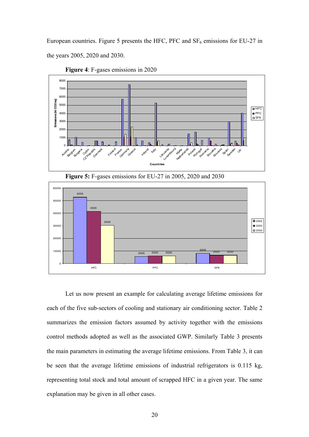European countries. Figure 5 presents the HFC, PFC and  $SF_6$  emissions for EU-27 in the years 2005, 2020 and 2030.



**Figure 4**: F-gases emissions in 2020





Let us now present an example for calculating average lifetime emissions for each of the five sub-sectors of cooling and stationary air conditioning sector. Table 2 summarizes the emission factors assumed by activity together with the emissions control methods adopted as well as the associated GWP. Similarly Table 3 presents the main parameters in estimating the average lifetime emissions. From Table 3, it can be seen that the average lifetime emissions of industrial refrigerators is 0.115 kg, representing total stock and total amount of scrapped HFC in a given year. The same explanation may be given in all other cases.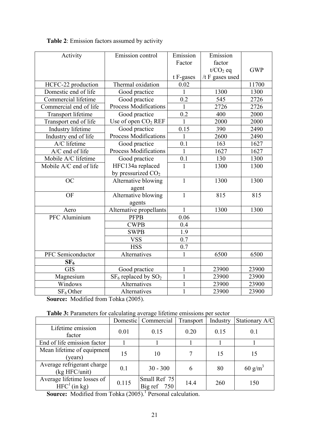| Activity               | Emission control             | Emission     | Emission              |            |
|------------------------|------------------------------|--------------|-----------------------|------------|
|                        | Factor                       |              | factor                |            |
|                        |                              |              | $t/CO2$ eq            | <b>GWP</b> |
|                        |                              | t F-gases    | / $t \, F$ gases used |            |
| HCFC-22 production     | Thermal oxidation            | 0.02         |                       | 11700      |
| Domestic end of life   | Good practice                |              | 1300                  | 1300       |
| Commercial lifetime    | Good practice                | 0.2          | 545                   | 2726       |
| Commercial end of life | <b>Process Modifications</b> |              | 2726                  | 2726       |
| Transport lifetime     | Good practice                | 0.2          | 400                   | 2000       |
| Transport end of life  | Use of open $CO2 REF$        | $\mathbf{1}$ | 2000                  | 2000       |
| Industry lifetime      | Good practice                | 0.15         | 390                   | 2490       |
| Industry end of life   | <b>Process Modifications</b> | 1            | 2600                  | 2490       |
| A/C lifetime           | Good practice                | 0.1          | 163                   | 1627       |
| A/C end of life        | <b>Process Modifications</b> | $\mathbf{1}$ | 1627                  | 1627       |
| Mobile A/C lifetime    | Good practice                | 0.1          | 130                   | 1300       |
| Mobile A/C end of life | HFC134a replaced             | 1            | 1300                  | 1300       |
|                        | by pressurized $CO2$         |              |                       |            |
| <b>OC</b>              | Alternative blowing          | $\mathbf{1}$ | 1300                  | 1300       |
|                        | agent                        |              |                       |            |
| <b>OF</b>              | Alternative blowing          | $\mathbf{1}$ | 815                   | 815        |
|                        | agents                       |              |                       |            |
| Aero                   | Alternative propellants      | $\mathbf{1}$ | 1300                  | 1300       |
| PFC Aluminium          | <b>PFPB</b>                  | 0.06         |                       |            |
|                        | <b>CWPB</b>                  | 0.4          |                       |            |
|                        | <b>SWPB</b>                  | 1.9          |                       |            |
|                        | <b>VSS</b>                   | 0.7          |                       |            |
|                        | <b>HSS</b>                   | 0.7          |                       |            |
| PFC Semiconductor      | Alternatives                 |              | 6500                  | 6500       |
| SF <sub>6</sub>        |                              |              |                       |            |
| <b>GIS</b>             | Good practice                | $\mathbf{1}$ | 23900                 | 23900      |
| Magnesium              | $SF_6$ replaced by $SO_2$    | $\mathbf{1}$ | 23900                 | 23900      |
| Windows                | Alternatives                 | $\mathbf{1}$ | 23900                 | 23900      |
| $SF_6$ Other           | Alternatives                 | $\mathbf{1}$ | 23900                 | 23900      |

## **Table 2**: Emission factors assumed by activity

**Source:** Modified from Tohka (2005).

**Table 3:** Parameters for calculating average lifetime emissions per sector

|                                              | Domestic | Commercial                     | Transport | Industry | Stationary A/C      |
|----------------------------------------------|----------|--------------------------------|-----------|----------|---------------------|
| Lifetime emission<br>factor                  | 0.01     | 0.15                           | 0.20      | 0.15     | 0.1                 |
| End of life emission factor                  |          |                                |           |          |                     |
| Mean lifetime of equipment<br>(years)        | 15       | 10                             |           | 15       | 15                  |
| Average refrigerant charge<br>(kg HFC/unit)  | 0.1      | $30 - 300$                     | 6         | 80       | 60 g/m <sup>3</sup> |
| Average lifetime losses of<br>$HFC1$ (in kg) | 0.115    | Small Ref 75<br>Big ref<br>750 | 14.4      | 260      | 150                 |

**Source:** Modified from Tohka (2005).<sup>1</sup> Personal calculation.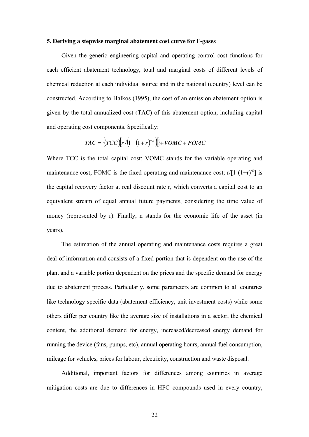#### **5. Deriving a stepwise marginal abatement cost curve for F-gases**

 Given the generic engineering capital and operating control cost functions for each efficient abatement technology, total and marginal costs of different levels of chemical reduction at each individual source and in the national (country) level can be constructed. According to Halkos (1995), the cost of an emission abatement option is given by the total annualized cost (TAC) of this abatement option, including capital and operating cost components. Specifically:

$$
TAC = \left\{ (TCC)\left[r/(1-(1+r)^{-n})\right] \right\} + VOMC + FOMC
$$

Where TCC is the total capital cost; VOMC stands for the variable operating and maintenance cost; FOMC is the fixed operating and maintenance cost;  $r/[1-(1+r)^{-n}]$  is the capital recovery factor at real discount rate r, which converts a capital cost to an equivalent stream of equal annual future payments, considering the time value of money (represented by r). Finally, n stands for the economic life of the asset (in years).

 The estimation of the annual operating and maintenance costs requires a great deal of information and consists of a fixed portion that is dependent on the use of the plant and a variable portion dependent on the prices and the specific demand for energy due to abatement process. Particularly, some parameters are common to all countries like technology specific data (abatement efficiency, unit investment costs) while some others differ per country like the average size of installations in a sector, the chemical content, the additional demand for energy, increased/decreased energy demand for running the device (fans, pumps, etc), annual operating hours, annual fuel consumption, mileage for vehicles, prices for labour, electricity, construction and waste disposal.

 Additional, important factors for differences among countries in average mitigation costs are due to differences in HFC compounds used in every country,

22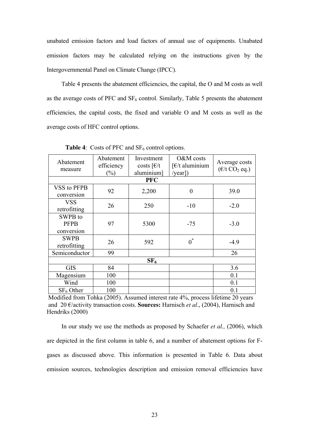unabated emission factors and load factors of annual use of equipments. Unabated emission factors may be calculated relying on the instructions given by the Intergovernmental Panel on Climate Change (IPCC).

 Table 4 presents the abatement efficiencies, the capital, the O and M costs as well as the average costs of PFC and  $SF_6$  control. Similarly, Table 5 presents the abatement efficiencies, the capital costs, the fixed and variable O and M costs as well as the average costs of HFC control options.

| Abatement<br>measure                 | Abatement<br>efficiency<br>$(\%)$ | Investment<br>costs $\int \epsilon/t$<br>aluminium] | O&M costs<br>$F/t$ aluminium<br>$/year$ ]) | Average costs<br>$(\epsilon/t \text{ CO}_2 \text{ eq.})$ |  |  |  |  |  |  |
|--------------------------------------|-----------------------------------|-----------------------------------------------------|--------------------------------------------|----------------------------------------------------------|--|--|--|--|--|--|
|                                      | <b>PFC</b>                        |                                                     |                                            |                                                          |  |  |  |  |  |  |
| VSS to PFPB<br>conversion            | 92                                | 2,200                                               | $\theta$                                   | 39.0                                                     |  |  |  |  |  |  |
| <b>VSS</b><br>retrofitting           | 26                                | 250                                                 | $-10$                                      | $-2.0$                                                   |  |  |  |  |  |  |
| SWPB to<br><b>PFPB</b><br>conversion | 97                                | 5300                                                | $-75$                                      | $-3.0$                                                   |  |  |  |  |  |  |
| <b>SWPB</b><br>retrofitting          | 26                                | 592                                                 | $0^*$                                      | $-4.9$                                                   |  |  |  |  |  |  |
| Semiconductor                        | 99                                |                                                     |                                            | 26                                                       |  |  |  |  |  |  |
|                                      |                                   | SF <sub>6</sub>                                     |                                            |                                                          |  |  |  |  |  |  |
| <b>GIS</b>                           | 84                                |                                                     |                                            | 3.6                                                      |  |  |  |  |  |  |
| Magensium                            | 100                               |                                                     |                                            | 0.1                                                      |  |  |  |  |  |  |
| Wind                                 | 100                               |                                                     |                                            | 0.1                                                      |  |  |  |  |  |  |
| $SF_6$ Other                         | 100                               |                                                     |                                            | 0.1                                                      |  |  |  |  |  |  |

**Table 4:** Costs of PFC and  $SF_6$  control options.

 Modified from Tohka (2005). Assumed interest rate 4%, process lifetime 20 years and 20 €/activity transaction costs. **Sources:** Harnisch *et al*., (2004), Harnisch and Hendriks (2000)

In our study we use the methods as proposed by Schaefer *et al.,* (2006), which are depicted in the first column in table 6, and a number of abatement options for Fgases as discussed above. This information is presented in Table 6. Data about emission sources, technologies description and emission removal efficiencies have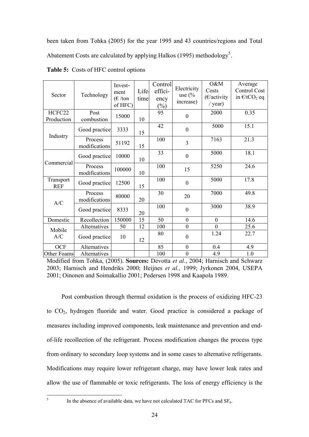been taken from Tohka (2005) for the year 1995 and 43 countries/regions and Total Abatement Costs are calculated by applying Halkos (1995) methodology<sup>5</sup>.

| Sector                  | Technology               | Invest-<br>ment<br>$(E / \text{ton})$<br>of HFC) | Life-<br>time | Control<br>effici-<br>ency<br>$(\%)$ | Electricity<br>use $\frac{6}{6}$<br>increase) | O&M<br>Costs<br>$(\epsilon$ /activity<br>$/$ year) | Average<br>Control Cost<br>in $\epsilon$ /tCO <sub>2</sub> eq |
|-------------------------|--------------------------|--------------------------------------------------|---------------|--------------------------------------|-----------------------------------------------|----------------------------------------------------|---------------------------------------------------------------|
| HCFC22<br>Production    | Post<br>combustion       | 15000                                            | 10            | 95                                   | $\mathbf{0}$                                  | 2000                                               | 0.35                                                          |
| Industry                | Good practice            | 3333                                             | 15            | 42                                   | $\boldsymbol{0}$                              | 5000                                               | 15.1                                                          |
|                         | Process<br>modifications | 51192                                            | 15            | 100                                  | $\overline{3}$                                | 7163                                               | 21.3                                                          |
| Commercial              | Good practice            | 10000                                            | 10            | 33                                   | $\boldsymbol{0}$                              | 5000                                               | 18.1                                                          |
|                         | Process<br>modifications | 100000                                           | 10            | 100                                  | 15                                            | 5250                                               | 24.6                                                          |
| Transport<br><b>REF</b> | Good practice            | 12500                                            | 15            | 100                                  | $\boldsymbol{0}$                              | 5000                                               | 17.8                                                          |
| A/C                     | Process<br>modifications | 80000                                            | 20            | 30                                   | 20                                            | 7000                                               | 49.8                                                          |
|                         | Good practice            | 8333                                             | 20            | 100                                  | $\boldsymbol{0}$                              | 3000                                               | 38.9                                                          |
| Domestic                | Recollection             | 150000                                           | 15            | 50                                   | $\boldsymbol{0}$                              | $\mathbf{0}$                                       | 14.6                                                          |
| Mobile<br>A/C           | Alternatives             | 50                                               | 12            | 100                                  | $\boldsymbol{0}$                              | $\overline{0}$                                     | 25.6                                                          |
|                         | Good practice            | 10                                               | 12            | 80                                   | $\boldsymbol{0}$                              | 1.24                                               | 22.7                                                          |
| <b>OCF</b>              | Alternatives             |                                                  |               | 85                                   | $\boldsymbol{0}$                              | 0.4                                                | 4.9                                                           |
| Other Foams             | Alternatives             |                                                  |               | 100                                  | $\boldsymbol{0}$                              | 4.9                                                | 1.0                                                           |

**Table 5:** Costs of HFC control options

Modified from Tohka, (2005). **Sources:** Devotta *et al*., 2004; Harnisch and Schwarz 2003; Harnisch and Hendriks 2000; Heijnes *et al.,* 1999; Jyrkonen 2004, USEPA 2001; Oinonen and Soimakallio 2001; Pedersen 1998 and Kaapola 1989.

Post combustion through thermal oxidation is the process of oxidizing HFC-23 to CO2, hydrogen fluoride and water. Good practice is considered a package of measures including improved components, leak maintenance and prevention and endof-life recollection of the refrigerant. Process modification changes the process type from ordinary to secondary loop systems and in some cases to alternative refrigerants. Modifications may require lower refrigerant charge, may have lower leak rates and allow the use of flammable or toxic refrigerants. The loss of energy efficiency is the

5

In the absence of available data, we have not calculated TAC for PFCs and  $SF<sub>6</sub>$ .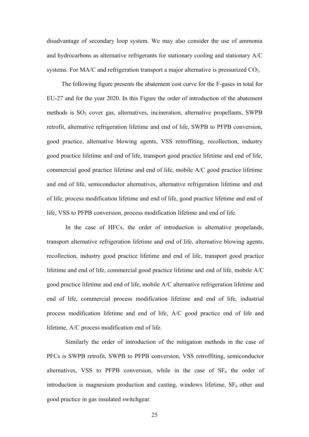disadvantage of secondary loop system. We may also consider the use of ammonia and hydrocarbons as alternative refrigerants for stationary cooling and stationary A/C systems. For  $MA/C$  and refrigeration transport a major alternative is pressurized  $CO<sub>2</sub>$ .

The following figure presents the abatement cost curve for the F-gases in total for EU-27 and for the year 2020. In this Figure the order of introduction of the abatement methods is  $SO<sub>2</sub>$  cover gas, alternatives, incineration, alternative propellants, SWPB retrofit, alternative refrigeration lifetime and end of life, SWPB to PFPB conversion, good practice, alternative blowing agents, VSS retroffiting, recollection, industry good practice lifetime and end of life, transport good practice lifetime and end of life, commercial good practice lifetime and end of life, mobile A/C good practice lifetime and end of life, semiconductor alternatives, alternative refrigeration lifetime and end of life, process modification lifetime and end of life, good practice lifetime and end of life, VSS to PFPB conversion, process modification lifetime and end of life.

In the case of HFCs, the order of introduction is alternative propelands, transport alternative refrigeration lifetime and end of life, alternative blowing agents, recollection, industry good practice lifetime and end of life, transport good practice lifetime and end of life, commercial good practice lifetime and end of life, mobile A/C good practice lifetime and end of life, mobile A/C alternative refrigeration lifetime and end of life, commercial process modification lifetime and end of life, industrial process modification lifetime and end of life, A/C good practice end of life and lifetime, A/C process modification end of life.

Similarly the order of introduction of the mitigation methods in the case of PFCs is SWPB retrofit, SWPB to PFPB conversion, VSS retroffiting, semiconductor alternatives, VSS to PFPB conversion, while in the case of  $SF<sub>6</sub>$  the order of introduction is magnesium production and casting, windows lifetime,  $SF<sub>6</sub>$  other and good practice in gas insulated switchgear.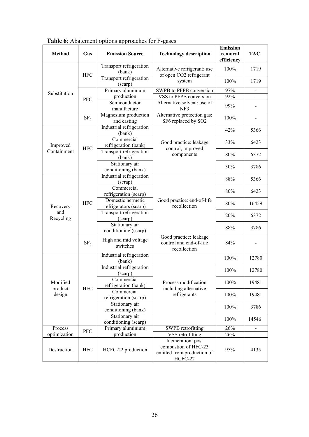| <b>Method</b>     | Gas             | <b>Tuble</b> 6. Trouvement options upprouding for 1 gusts<br><b>Emission Source</b> | <b>Technology description</b>                                                       | <b>Emission</b><br>removal<br>efficiency | <b>TAC</b> |
|-------------------|-----------------|-------------------------------------------------------------------------------------|-------------------------------------------------------------------------------------|------------------------------------------|------------|
|                   | <b>HFC</b>      | Transport refrigeration<br>(bank)                                                   | Alternative refrigerant: use<br>of open CO2 refrigerant                             | 100%                                     | 1719       |
|                   |                 | Transport refrigeration<br>(scarp)                                                  | system                                                                              | 100%                                     | 1719       |
| Substitution      |                 | Primary aluminium                                                                   | SWPB to PFPB conversion                                                             | 97%                                      |            |
|                   | PFC             | production                                                                          | VSS to PFPB conversion                                                              | 92%                                      |            |
|                   |                 | Semiconductor<br>manufacture                                                        | Alternative solvent: use of<br>NF3                                                  | 99%                                      |            |
|                   | SF <sub>6</sub> | Magnesium production<br>and casting                                                 | Alternative protection gas:<br>SF6 replaced by SO2                                  | 100%                                     |            |
|                   |                 | Industrial refrigeration<br>(bank)                                                  |                                                                                     | 42%                                      | 5366       |
| Improved          |                 | Commercial<br>refrigeration (bank)                                                  | Good practice: leakage                                                              | 33%                                      | 6423       |
| Containment       | ${\rm HFC}$     | Transport refrigeration<br>(bank)                                                   | control, improved<br>components                                                     | 80%                                      | 6372       |
|                   |                 | Stationary air<br>conditioning (bank)                                               |                                                                                     | 30%                                      | 3786       |
|                   | <b>HFC</b>      | Industrial refrigeration<br>(scrap)                                                 |                                                                                     | $88\%$                                   | 5366       |
|                   |                 | Commercial<br>refrigeration (scarp)                                                 |                                                                                     | 80%                                      | 6423       |
| Recovery          |                 | Domestic hermetic<br>refrigerators (scarp)                                          | Good practice: end-of-life<br>recollection                                          | 80%                                      | 16459      |
| and<br>Recycling  |                 | Transport refrigeration<br>(scarp)                                                  |                                                                                     | 20%                                      | 6372       |
|                   |                 | Stationary air<br>conditioning (scarp)                                              |                                                                                     | 88%                                      | 3786       |
|                   | SF <sub>6</sub> | High and mid voltage<br>switches                                                    | Good practice: leakage<br>control and end-of-life<br>recollection                   | 84%                                      |            |
|                   |                 | Industrial refrigeration<br>(bank)                                                  |                                                                                     | 100%                                     | 12780      |
|                   |                 | Industrial refrigeration<br>$(\text{scarp})$                                        |                                                                                     | 100%                                     | 12780      |
| Modified          |                 | Commercial<br>refrigeration (bank)                                                  | Process modification                                                                | 100%                                     | 19481      |
| product<br>design | $\rm{HFC}$      | Commercial<br>refrigeration (scarp)                                                 | including alternative<br>refrigerants                                               | 100%                                     | 19481      |
|                   |                 | Stationary air<br>conditioning (bank)                                               |                                                                                     | 100%                                     | 3786       |
|                   |                 | Stationary air<br>conditioning (scarp)                                              |                                                                                     | 100%                                     | 14546      |
| Process           | PFC             | Primary aluminium                                                                   | SWPB retrofitting                                                                   | 26%                                      |            |
| optimization      |                 | production                                                                          | VSS retrofitting                                                                    | 26%                                      |            |
| Destruction       | <b>HFC</b>      | HCFC-22 production                                                                  | Incineration: post<br>combustion of HFC-23<br>emitted from production of<br>HCFC-22 | 95%                                      | 4135       |

**Table 6:** Abatement options approaches for F-gases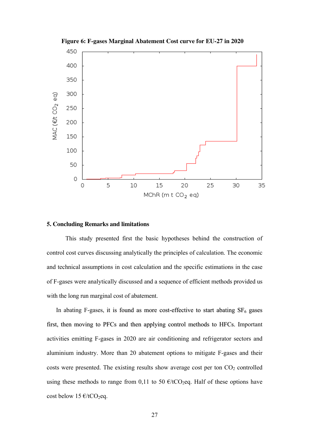

**Figure 6: F-gases Marginal Abatement Cost curve for EU-27 in 2020** 

### **5. Concluding Remarks and limitations**

 This study presented first the basic hypotheses behind the construction of control cost curves discussing analytically the principles of calculation. The economic and technical assumptions in cost calculation and the specific estimations in the case of F-gases were analytically discussed and a sequence of efficient methods provided us with the long run marginal cost of abatement.

In abating F-gases, it is found as more cost-effective to start abating  $SF<sub>6</sub>$  gases first, then moving to PFCs and then applying control methods to HFCs. Important activities emitting F-gases in 2020 are air conditioning and refrigerator sectors and aluminium industry. More than 20 abatement options to mitigate F-gases and their costs were presented. The existing results show average cost per ton  $CO<sub>2</sub>$  controlled using these methods to range from 0,11 to 50  $\epsilon$ /tCO<sub>2</sub>eq. Half of these options have cost below 15  $\epsilon$ /tCO<sub>2</sub>eq.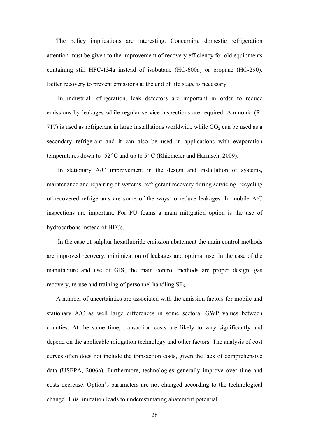The policy implications are interesting. Concerning domestic refrigeration attention must be given to the improvement of recovery efficiency for old equipments containing still HFC-134a instead of isobutane (HC-600a) or propane (HC-290). Better recovery to prevent emissions at the end of life stage is necessary.

In industrial refrigeration, leak detectors are important in order to reduce emissions by leakages while regular service inspections are required. Ammonia (R-717) is used as refrigerant in large installations worldwide while  $CO<sub>2</sub>$  can be used as a secondary refrigerant and it can also be used in applications with evaporation temperatures down to -52 $^{\circ}$ C and up to 5 $^{\circ}$  C (Rhiemeier and Harnisch, 2009).

In stationary A/C improvement in the design and installation of systems, maintenance and repairing of systems, refrigerant recovery during servicing, recycling of recovered refrigerants are some of the ways to reduce leakages. In mobile A/C inspections are important. For PU foams a main mitigation option is the use of hydrocarbons instead of HFCs.

In the case of sulphur hexafluoride emission abatement the main control methods are improved recovery, minimization of leakages and optimal use. In the case of the manufacture and use of GIS, the main control methods are proper design, gas recovery, re-use and training of personnel handling  $SF<sub>6</sub>$ .

A number of uncertainties are associated with the emission factors for mobile and stationary A/C as well large differences in some sectoral GWP values between counties. At the same time, transaction costs are likely to vary significantly and depend on the applicable mitigation technology and other factors. The analysis of cost curves often does not include the transaction costs, given the lack of comprehensive data (USEPA, 2006a). Furthermore, technologies generally improve over time and costs decrease. Option's parameters are not changed according to the technological change. This limitation leads to underestimating abatement potential.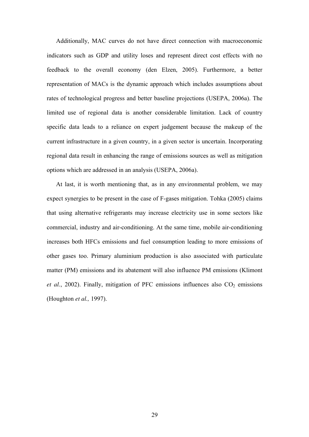Additionally, MAC curves do not have direct connection with macroeconomic indicators such as GDP and utility loses and represent direct cost effects with no feedback to the overall economy (den Elzen, 2005). Furthermore, a better representation of MACs is the dynamic approach which includes assumptions about rates of technological progress and better baseline projections (USEPA, 2006a). The limited use of regional data is another considerable limitation. Lack of country specific data leads to a reliance on expert judgement because the makeup of the current infrastructure in a given country, in a given sector is uncertain. Incorporating regional data result in enhancing the range of emissions sources as well as mitigation options which are addressed in an analysis (USEPA, 2006a).

At last, it is worth mentioning that, as in any environmental problem, we may expect synergies to be present in the case of F-gases mitigation. Tohka (2005) claims that using alternative refrigerants may increase electricity use in some sectors like commercial, industry and air-conditioning. At the same time, mobile air-conditioning increases both HFCs emissions and fuel consumption leading to more emissions of other gases too. Primary aluminium production is also associated with particulate matter (PM) emissions and its abatement will also influence PM emissions (Klimont *et al.*, 2002). Finally, mitigation of PFC emissions influences also  $CO<sub>2</sub>$  emissions (Houghton *et al.,* 1997).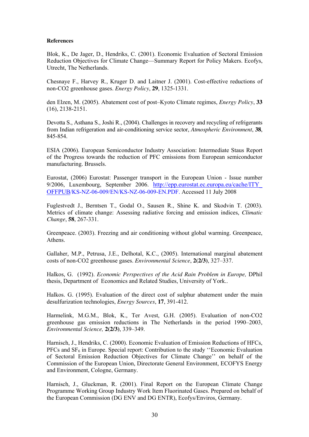#### **References**

Blok, K., De Jager, D., Hendriks, C. (2001). Economic Evaluation of Sectoral Emission Reduction Objectives for Climate Change—Summary Report for Policy Makers. Ecofys, Utrecht, The Netherlands.

Chesnaye F., Harvey R., Kruger D. and Laitner J. (2001). Cost-effective reductions of non-CO2 greenhouse gases. *Energy Policy*, **29**, 1325-1331.

den Elzen, M. (2005). Abatement cost of post–Kyoto Climate regimes, *Energy Policy*, **33**  (16), 2138-2151.

Devotta S., Asthana S., Joshi R., (2004). Challenges in recovery and recycling of refrigerants from Indian refrigeration and air-conditioning service sector, *Atmospheric Environment*, **38**, 845-854.

ESIA (2006). European Semiconductor Industry Association: Intermediate Staus Report of the Progress towards the reduction of PFC emissions from European semiconductor manufacturing. Brussels.

Eurostat, (2006) Eurostat: Passenger transport in the European Union - Issue number 9/2006, Luxembourg, September 2006. http://epp.eurostat.ec.europa.eu/cache/ITY\_ OFFPUB/KS-NZ-06-009/EN/KS-NZ-06-009-EN.PDF. Accessed 11 July 2008

Fuglestvedt J., Berntsen T., Godal O., Sausen R., Shine K. and Skodvin T. (2003). Metrics of climate change: Assessing radiative forcing and emission indices, *Climatic Change*, **58**, 267-331.

Greenpeace. (2003). Freezing and air conditioning without global warming. Greenpeace, Athens.

Gallaher, M.P., Petrusa, J.E., Delhotal, K.C., (2005). International marginal abatement costs of non-CO2 greenhouse gases. *Environmental Science*, **2(2/3)**, 327–337.

Halkos, G. (1992). *Economic Perspectives of the Acid Rain Problem in Europe,* DPhil thesis, Department of Economics and Related Studies, University of York..

Halkos. G. (1995). Evaluation of the direct cost of sulphur abatement under the main desulfurization technologies, *Energy Sources*, **17**, 391-412.

Harmelink, M.G.M., Blok, K., Ter Avest, G.H. (2005). Evaluation of non-CO2 greenhouse gas emission reductions in The Netherlands in the period 1990–2003, *Environmental Science,* **2(2/3)**, 339–349.

Harnisch, J., Hendriks, C. (2000). Economic Evaluation of Emission Reductions of HFCs, PFCs and SF<sub>6</sub> in Europe. Special report: Contribution to the study "Economic Evaluation of Sectoral Emission Reduction Objectives for Climate Change'' on behalf of the Commission of the European Union, Directorate General Environment, ECOFYS Energy and Environment, Cologne, Germany.

Harnisch, J., Gluckman, R. (2001). Final Report on the European Climate Change Programme Working Group Industry Work Item Fluorinated Gases. Prepared on behalf of the European Commission (DG ENV and DG ENTR), Ecofys/Enviros, Germany.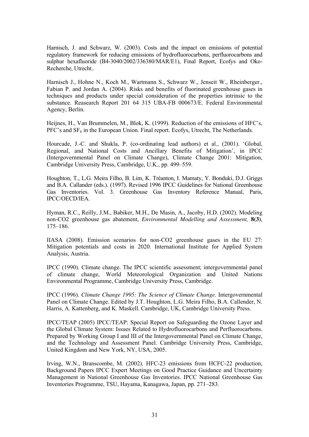Harnisch, J. and Schwarz, W. (2003). Costs and the impact on emissions of potential regulatory framework for reducing emissions of hydrofluorocarbons, perfluorocarbons and sulphur hexafluoride (B4-3040/2002/336380/MAR/E1), Final Report, Ecofys and Oko-Recherche, Utrecht..

Harnisch J., Hohne N., Koch M., Wartmann S., Schwarz W., Jenseit W., Rheinberger., Fabian P. and Jordan A. (2004). Risks and benefits of fluorinated greenhouse gases in techniques and products under special consideration of the properties intrinsic to the substance. Reasearch Report 201 64 315 UBA-FB 000673/E. Federal Environmental Agency, Berlin.

Heijnes, H., Van Brummelen, M., Blok, K. (1999). Reduction of the emissions of HFC's,  $PFC's$  and  $SF<sub>6</sub>$  in the European Union. Final report. Ecofys, Utrecht, The Netherlands.

Hourcade, J.-C. and Shukla, P. (co-ordinating lead authors) et al., (2001). 'Global, Regional, and National Costs and Ancillary Benefits of Mitigation', in IPCC (Intergovernmental Panel on Climate Change), Climate Change 2001: Mitigation, Cambridge University Press, Cambridge, U.K., pp. 499–559.

Houghton, T., L.G. Meira Filho, B. Lim, K. Tréanton, I. Mamaty, Y. Bonduki, D.J. Griggs and B.A. Callander (eds.). (1997). Revised 1996 IPCC Guidelines for National Greenhouse Gas Inventories. Vol. 3. Greenhouse Gas Inventory Reference Manual, Paris, IPCC/OECD/IEA.

Hyman, R.C., Reilly, J.M., Babiker, M.H., De Masin, A., Jacoby, H.D. (2002). Modeling non-CO2 greenhouse gas abatement, *Environmental Modelling and Assessment,* **8(3)**, 175–186.

IIASA (2008). Emission scenarios for non-CO2 greenhouse gases in the EU 27: Mitigation potentials and costs in 2020. International Institute for Applied System Analysis, Austria.

IPCC (1990). Climate change. The IPCC scientific assessment; intergovernmental panel of climate change, World Meteorological Organization and United Nations Environmental Programme, Cambridge University Press, Cambridge.

IPCC (1996). *Climate Change 1995: The Science of Climate Change.* Intergovernmental Panel on Climate Change. Edited by J.T. Houghton, L.G. Meira Filho, B.A. Callender, N. Harris, A. Kattenberg, and K. Maskell. Cambridge, UK, Cambridge University Press.

IPCC/TEAP (2005) IPCC/TEAP: Special Report on Safeguarding the Ozone Layer and the Global Climate System: Issues Related to Hydrofluorocarbons and Perfluorocarbons. Prepared by Working Group I and III of the Intergovernmental Panel on Climate Change, and the Technology and Assessment Panel. Cambridge University Press, Cambridge, United Kingdom and New York, NY, USA, 2005.

Irving, W.N., Branscombe, M. (2002). HFC-23 emissions from HCFC-22 production, Background Papers IPCC Expert Meetings on Good Practice Guidance and Uncertainty Management in National Greenhouse Gas Inventories. IPCC National Greenhouse Gas Inventories Programme, TSU, Hayama, Kanagawa, Japan, pp. 271–283.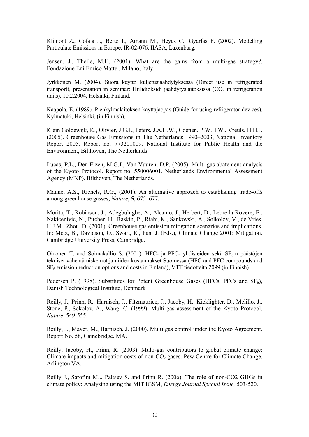Klimont Z., Cofala J., Berto I., Amann M., Heyes C., Gyarfas F. (2002). Modelling Particulate Emissions in Europe, IR-02-076, IIASA, Laxenburg.

Jensen, J., Thelle, M.H. (2001). What are the gains from a multi-gas strategy?, Fondazione Eni Enrico Mattei, Milano, Italy.

Jyrkkonen M. (2004). Suora kaytto kuljetusjaahdytyksessa (Direct use in refrigerated transport), presentation in seminar: Hiilidioksidi jaahdytyslaitoksissa  $(CO<sub>2</sub>)$  in refrigeration units), 10.2.2004, Helsinki, Finland.

Kaapola, E. (1989). Pienkylmalaitoksen kayttajaopas (Guide for using refrigerator devices). Kylmatuki, Helsinki. (in Finnish).

Klein Goldewijk, K., Olivier, J.G.J., Peters, J.A.H.W., Coenen, P.W.H.W., Vreuls, H.H.J. (2005). Greenhouse Gas Emissions in The Netherlands 1990–2003, National Inventory Report 2005. Report no. 773201009. National Institute for Public Health and the Environment, Bilthoven, The Netherlands.

Lucas, P.L., Den Elzen, M.G.J., Van Vuuren, D.P. (2005). Multi-gas abatement analysis of the Kyoto Protocol. Report no. 550006001. Netherlands Environmental Assessment Agency (MNP), Bilthoven, The Netherlands.

Manne, A.S., Richels, R.G., (2001). An alternative approach to establishing trade-offs among greenhouse gasses, *Nature*, **5**, 675–677.

Morita, T., Robinson, J., Adegbulugbe, A., Alcamo, J., Herbert, D., Lebre la Rovere, E., Nakicenivic, N., Pitcher, H., Raskin, P., Riahi, K., Sankovski, A., Solkolov, V., de Vries, H.J.M., Zhou, D. (2001). Greenhouse gas emission mitigation scenarios and implications. In: Metz, B., Davidson, O., Swart, R., Pan, J. (Eds.), Climate Change 2001: Mitigation. Cambridge University Press, Cambridge.

Oinonen T. and Soimakallio S. (2001). HFC- ja PFC- yhdisteiden sekä  $SF_6$ :n päästöjen tekniset vähentämiskeinot ja niiden kustannukset Suomessa (HFC and PFC compounds and SF6 emission reduction options and costs in Finland), VTT tiedotteita 2099 (in Finnish).

Pedersen P. (1998). Substitutes for Potent Greenhouse Gases (HFCs, PFCs and  $SF<sub>6</sub>$ ), Danish Technological Institute, Denmark

Reilly, J., Prinn, R., Harnisch, J., Fitzmaurice, J., Jacoby, H., Kicklighter, D., Melillo, J., Stone, P., Sokolov, A., Wang, C. (1999). Multi-gas assessment of the Kyoto Protocol. *Nature*, 549-555.

Reilly, J., Mayer, M., Harnisch, J. (2000). Multi gas control under the Kyoto Agreement. Report No. 58, Camebridge, MA.

Reilly, Jacoby, H., Prinn, R. (2003). Multi-gas contributors to global climate change: Climate impacts and mitigation costs of non- $CO<sub>2</sub>$  gases. Pew Centre for Climate Change, Arlington VA.

Reilly J., Sarofim M.., Paltsev S. and Prinn R. (2006). The role of non-CO2 GHGs in climate policy: Analysing using the MIT IGSM, *Energy Journal Special Issue,* 503-520.